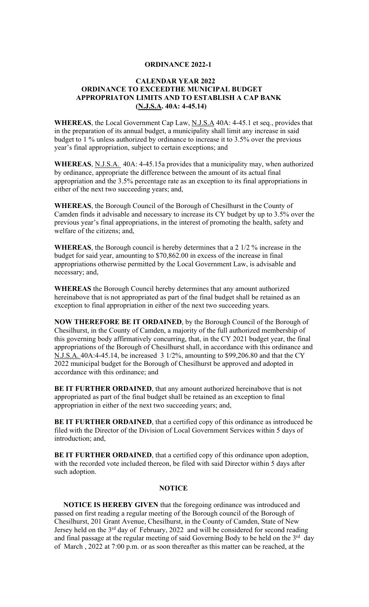## **ORDINANCE 2022-1**

## **CALENDAR YEAR 2022 ORDINANCE TO EXCEEDTHE MUNICIPAL BUDGET APPROPRIATON LIMITS AND TO ESTABLISH A CAP BANK (N.J.S.A. 40A: 4-45.14)**

**WHEREAS**, the Local Government Cap Law, N.J.S.A 40A: 4-45.1 et seq., provides that in the preparation of its annual budget, a municipality shall limit any increase in said budget to 1 % unless authorized by ordinance to increase it to 3.5% over the previous year's final appropriation, subject to certain exceptions; and

**WHEREAS**, N.J.S.A. 40A: 4-45.15a provides that a municipality may, when authorized by ordinance, appropriate the difference between the amount of its actual final appropriation and the 3.5% percentage rate as an exception to its final appropriations in either of the next two succeeding years; and,

**WHEREAS**, the Borough Council of the Borough of Chesilhurst in the County of Camden finds it advisable and necessary to increase its CY budget by up to 3.5% over the previous year's final appropriations, in the interest of promoting the health, safety and welfare of the citizens; and,

**WHEREAS**, the Borough council is hereby determines that a 2 1/2 % increase in the budget for said year, amounting to \$70,862.00 in excess of the increase in final appropriations otherwise permitted by the Local Government Law, is advisable and necessary; and,

**WHEREAS** the Borough Council hereby determines that any amount authorized hereinabove that is not appropriated as part of the final budget shall be retained as an exception to final appropriation in either of the next two succeeding years.

**NOW THEREFORE BE IT ORDAINED**, by the Borough Council of the Borough of Chesilhurst, in the County of Camden, a majority of the full authorized membership of this governing body affirmatively concurring, that, in the CY 2021 budget year, the final appropriations of the Borough of Chesilhurst shall, in accordance with this ordinance and N.J.S.A. 40A:4-45.14, be increased 3 1/2%, amounting to \$99,206.80 and that the CY 2022 municipal budget for the Borough of Chesilhurst be approved and adopted in accordance with this ordinance; and

**BE IT FURTHER ORDAINED**, that any amount authorized hereinabove that is not appropriated as part of the final budget shall be retained as an exception to final appropriation in either of the next two succeeding years; and,

**BE IT FURTHER ORDAINED**, that a certified copy of this ordinance as introduced be filed with the Director of the Division of Local Government Services within 5 days of introduction; and,

**BE IT FURTHER ORDAINED**, that a certified copy of this ordinance upon adoption, with the recorded vote included thereon, be filed with said Director within 5 days after such adoption.

## **NOTICE**

 **NOTICE IS HEREBY GIVEN** that the foregoing ordinance was introduced and passed on first reading a regular meeting of the Borough council of the Borough of Chesilhurst, 201 Grant Avenue, Chesilhurst, in the County of Camden, State of New Jersey held on the 3<sup>rd</sup> day of February, 2022 and will be considered for second reading and final passage at the regular meeting of said Governing Body to be held on the  $3<sup>rd</sup>$  day of March , 2022 at 7:00 p.m. or as soon thereafter as this matter can be reached, at the